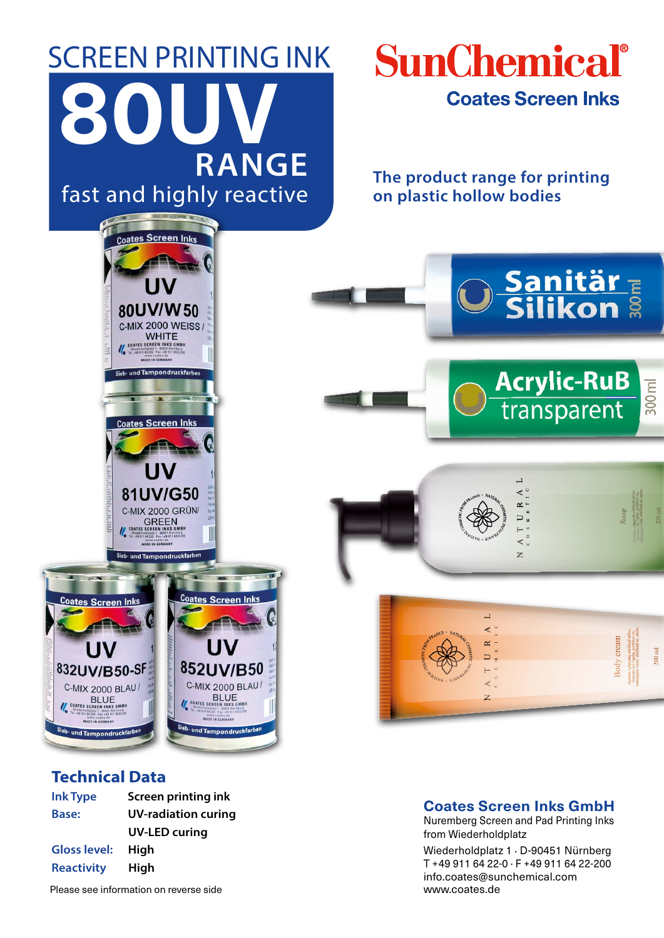# SCREEN PRINTING INK fast and highly reactive **80UV RANGE**

coates Screen Int

80UV/W50 C-MIX 2000 WEISS / WHITE<br>
COATES SCREEN INKS GMBH<br>
WHITE<br>
THE HE TO SERVE AND THE THE THE THE TOPS OF THE TOPS OF THE TOPS<br>
MADE IN GENAALY

und Tampondruckfarl

**Coates Screen Inks** 

81UV/G50

C-MIX 2000 GRÜN

## SunChemical® **Coates Screen Inks**

**The product range for printing on plastic hollow bodies**

Sanitär<sub>E</sub>

**Acrylic-RuB**<br>transparent

300 ml





 $\overline{a}$ 

 $\prec$ 

Z

### **Technical Data**

| <b>Ink Type</b>     | Screen printing ink        |
|---------------------|----------------------------|
| Base:               | <b>UV-radiation curing</b> |
|                     | <b>UV-LED curing</b>       |
| <b>Gloss level:</b> | Hiah                       |
| <b>Reactivity</b>   | High                       |

Please see information on reverse side

### **Coates Screen Inks GmbH**

Nuremberg Screen and Pad Printing Inks from Wiederholdplatz

Wiederholdplatz 1 . D-90451 Nürnberg T +49 911 64 22-0 . F +49 911 64 22-200 info.coates@sunchemical.com